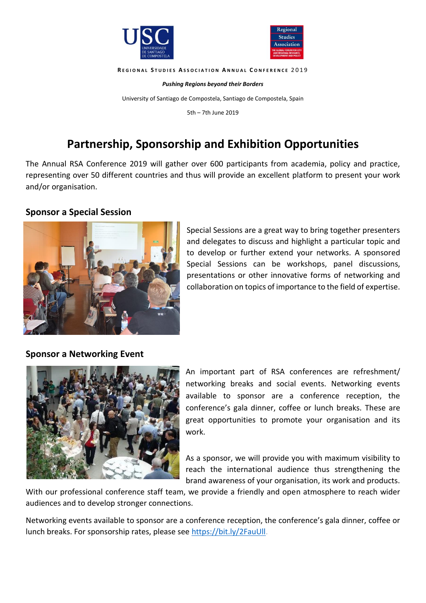



#### **R E G I O N A L S T U D I E S A S S O C I A T I O N A N N U A L C O N F E R E N C E** 2 0 1 9

*Pushing Regions beyond their Borders*

University of Santiago de Compostela, Santiago de Compostela, Spain

5th – 7th June 2019

# **Partnership, Sponsorship and Exhibition Opportunities**

The Annual RSA Conference 2019 will gather over 600 participants from academia, policy and practice, representing over 50 different countries and thus will provide an excellent platform to present your work and/or organisation.

## **Sponsor a Special Session**



Special Sessions are a great way to bring together presenters and delegates to discuss and highlight a particular topic and to develop or further extend your networks. A sponsored Special Sessions can be workshops, panel discussions, presentations or other innovative forms of networking and collaboration on topics of importance to the field of expertise.

## **Sponsor a Networking Event**



An important part of RSA conferences are refreshment/ networking breaks and social events. Networking events available to sponsor are a conference reception, the conference's gala dinner, coffee or lunch breaks. These are great opportunities to promote your organisation and its work.

As a sponsor, we will provide you with maximum visibility to reach the international audience thus strengthening the brand awareness of your organisation, its work and products.

With our professional conference staff team, we provide a friendly and open atmosphere to reach wider audiences and to develop stronger connections.

Networking events available to sponsor are a conference reception, the conference's gala dinner, coffee or lunch breaks. For sponsorship rates, please see https://bit.ly/2FauUll.